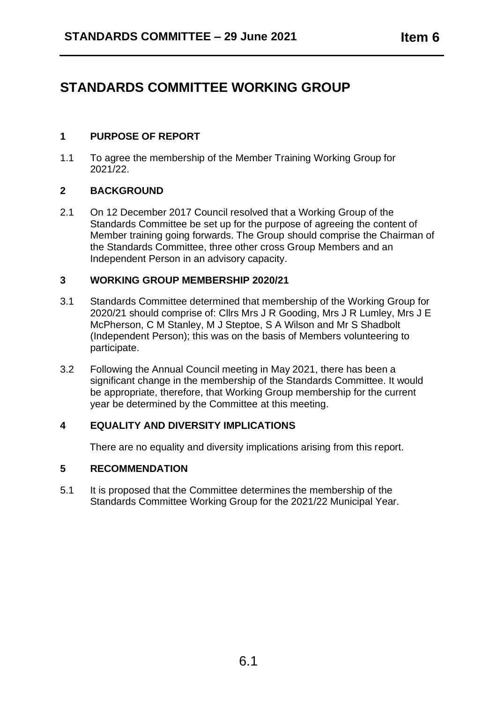# **STANDARDS COMMITTEE WORKING GROUP**

# **1 PURPOSE OF REPORT**

1.1 To agree the membership of the Member Training Working Group for 2021/22.

## **2 BACKGROUND**

2.1 On 12 December 2017 Council resolved that a Working Group of the Standards Committee be set up for the purpose of agreeing the content of Member training going forwards. The Group should comprise the Chairman of the Standards Committee, three other cross Group Members and an Independent Person in an advisory capacity.

#### **3 WORKING GROUP MEMBERSHIP 2020/21**

- 3.1 Standards Committee determined that membership of the Working Group for 2020/21 should comprise of: Cllrs Mrs J R Gooding, Mrs J R Lumley, Mrs J E McPherson, C M Stanley, M J Steptoe, S A Wilson and Mr S Shadbolt (Independent Person); this was on the basis of Members volunteering to participate.
- 3.2 Following the Annual Council meeting in May 2021, there has been a significant change in the membership of the Standards Committee. It would be appropriate, therefore, that Working Group membership for the current year be determined by the Committee at this meeting.

#### **4 EQUALITY AND DIVERSITY IMPLICATIONS**

There are no equality and diversity implications arising from this report.

#### **5 RECOMMENDATION**

5.1 It is proposed that the Committee determines the membership of the Standards Committee Working Group for the 2021/22 Municipal Year.